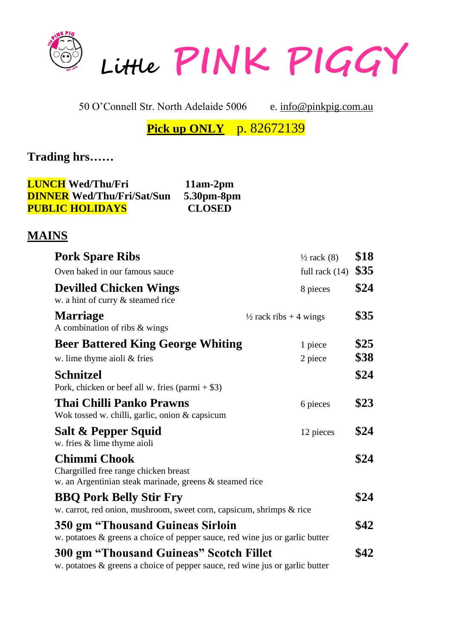

50 O'Connell Str. North Adelaide 5006 e. [info@pinkpig.com.au](mailto:info@pinkpig.com.au)

**Pick up ONLY** p. 82672139

# **Trading hrs……**

| <b>LUNCH Wed/Thu/Fri</b>          | $11am-2pm$    |
|-----------------------------------|---------------|
| <b>DINNER Wed/Thu/Fri/Sat/Sun</b> | 5.30pm-8pm    |
| <b>PUBLIC HOLIDAYS</b>            | <b>CLOSED</b> |

## **MAINS**

| <b>Pork Spare Ribs</b>                                                                                                         | $\frac{1}{2}$ rack (8)            |
|--------------------------------------------------------------------------------------------------------------------------------|-----------------------------------|
| Oven baked in our famous sauce                                                                                                 | full rack $(14)$                  |
| <b>Devilled Chicken Wings</b><br>w. a hint of curry & steamed rice                                                             | 8 pieces                          |
| <b>Marriage</b><br>A combination of ribs & wings                                                                               | $\frac{1}{2}$ rack ribs + 4 wings |
| <b>Beer Battered King George Whiting</b>                                                                                       | 1 piece                           |
| w. lime thyme aioli & fries                                                                                                    | 2 piece                           |
| <b>Schnitzel</b><br>Pork, chicken or beef all w. fries $(param + $3)$                                                          |                                   |
| Thai Chilli Panko Prawns<br>Wok tossed w. chilli, garlic, onion & capsicum                                                     | 6 pieces                          |
| Salt & Pepper Squid<br>w. fries & lime thyme aioli                                                                             | 12 pieces                         |
| <b>Chimmi Chook</b><br>Chargrilled free range chicken breast<br>w. an Argentinian steak marinade, greens & steamed rice        |                                   |
| <b>BBQ Pork Belly Stir Fry</b><br>w. carrot, red onion, mushroom, sweet corn, capsicum, shrimps & rice                         |                                   |
| 350 gm "Thousand Guineas Sirloin<br>w. potatoes & greens a choice of pepper sauce, red wine jus or garlic butter               |                                   |
| <b>300 gm "Thousand Guineas" Scotch Fillet</b><br>w. potatoes & greens a choice of pepper sauce, red wine jus or garlic butter |                                   |